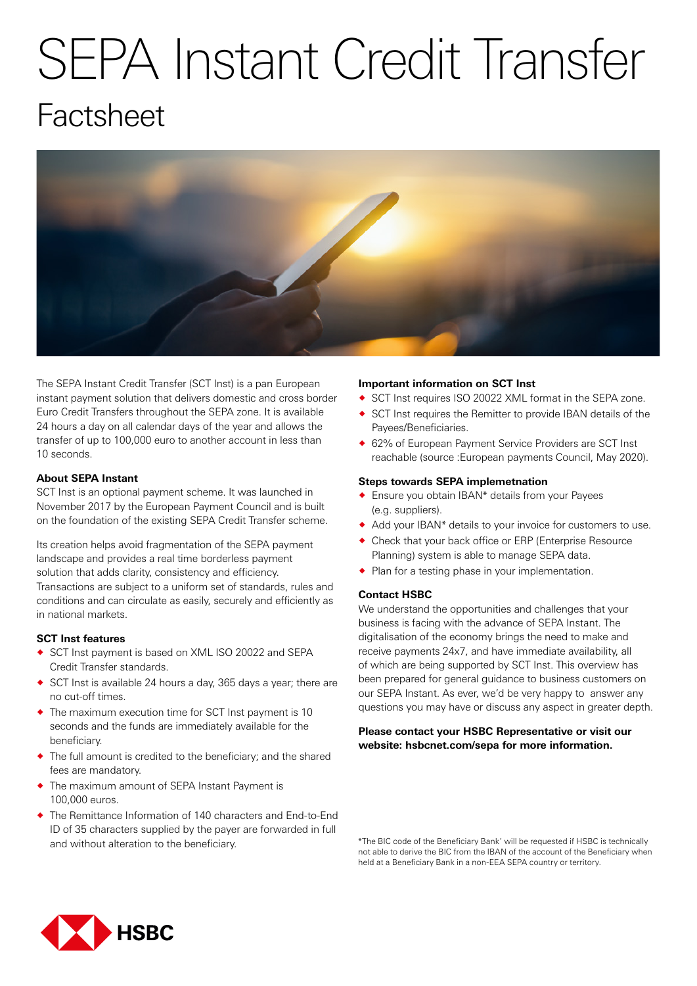# SEPA Instant Credit Transfer **Factsheet**



The SEPA Instant Credit Transfer (SCT Inst) is a pan European instant payment solution that delivers domestic and cross border Euro Credit Transfers throughout the SEPA zone. It is available 24 hours a day on all calendar days of the year and allows the transfer of up to 100,000 euro to another account in less than 10 seconds.

# **About SEPA Instant**

SCT Inst is an optional payment scheme. It was launched in November 2017 by the European Payment Council and is built on the foundation of the existing SEPA Credit Transfer scheme.

Its creation helps avoid fragmentation of the SEPA payment landscape and provides a real time borderless payment solution that adds clarity, consistency and efficiency. Transactions are subject to a uniform set of standards, rules and conditions and can circulate as easily, securely and efficiently as in national markets.

## **SCT Inst features**

- ◆ SCT Inst payment is based on XML ISO 20022 and SEPA Credit Transfer standards.
- ® SCT Inst is available 24 hours a day, 365 days a year; there are no cut-off times.
- ® The maximum execution time for SCT Inst payment is 10 seconds and the funds are immediately available for the beneficiary.
- The full amount is credited to the beneficiary; and the shared fees are mandatory.
- The maximum amount of SEPA Instant Payment is 100,000 euros.
- The Remittance Information of 140 characters and End-to-End ID of 35 characters supplied by the payer are forwarded in full and without alteration to the beneficiary.

## **Important information on SCT Inst**

- ◆ SCT Inst requires ISO 20022 XML format in the SEPA zone.
- ® SCT Inst requires the Remitter to provide IBAN details of the Payees/Beneficiaries.
- ◆ 62% of European Payment Service Providers are SCT Inst reachable (source :European payments Council, May 2020).

## **Steps towards SEPA implemetnation**

- ® Ensure you obtain IBAN\* details from your Payees (e.g. suppliers).
- ® Add your IBAN\* details to your invoice for customers to use.
- ® Check that your back office or ERP (Enterprise Resource Planning) system is able to manage SEPA data.
- ◆ Plan for a testing phase in your implementation.

## **Contact HSBC**

We understand the opportunities and challenges that your business is facing with the advance of SEPA Instant. The digitalisation of the economy brings the need to make and receive payments 24x7, and have immediate availability, all of which are being supported by SCT Inst. This overview has been prepared for general guidance to business customers on our SEPA Instant. As ever, we'd be very happy to answer any questions you may have or discuss any aspect in greater depth.

# **Please contact your HSBC Representative or visit our website: hsbcnet.com/sepa for more information.**

\*The BIC code of the Beneficiary Bank' will be requested if HSBC is technically not able to derive the BIC from the IBAN of the account of the Beneficiary when held at a Beneficiary Bank in a non-EEA SEPA country or territory.

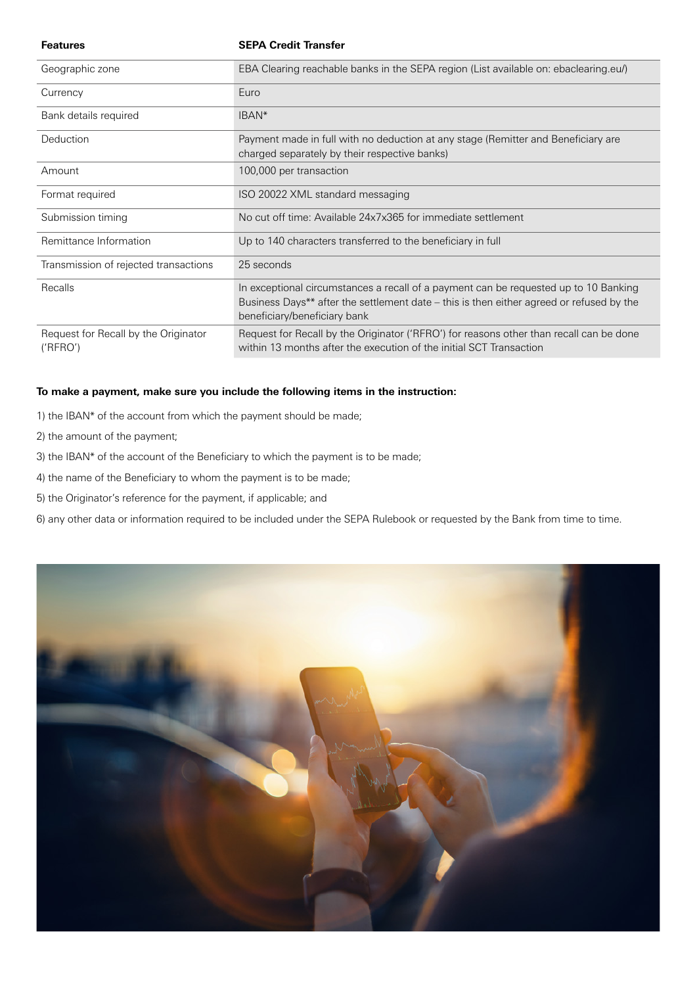| <b>Features</b>                                  | <b>SEPA Credit Transfer</b>                                                                                                                                                                                      |
|--------------------------------------------------|------------------------------------------------------------------------------------------------------------------------------------------------------------------------------------------------------------------|
| Geographic zone                                  | EBA Clearing reachable banks in the SEPA region (List available on: ebaclearing.eu/)                                                                                                                             |
| Currency                                         | Euro                                                                                                                                                                                                             |
| Bank details required                            | IBAN <sup>*</sup>                                                                                                                                                                                                |
| Deduction                                        | Payment made in full with no deduction at any stage (Remitter and Beneficiary are<br>charged separately by their respective banks)                                                                               |
| Amount                                           | 100,000 per transaction                                                                                                                                                                                          |
| Format required                                  | ISO 20022 XML standard messaging                                                                                                                                                                                 |
| Submission timing                                | No cut off time: Available 24x7x365 for immediate settlement                                                                                                                                                     |
| Remittance Information                           | Up to 140 characters transferred to the beneficiary in full                                                                                                                                                      |
| Transmission of rejected transactions            | 25 seconds                                                                                                                                                                                                       |
| Recalls                                          | In exceptional circumstances a recall of a payment can be requested up to 10 Banking<br>Business Days** after the settlement date – this is then either agreed or refused by the<br>beneficiary/beneficiary bank |
| Request for Recall by the Originator<br>('RFRO') | Request for Recall by the Originator ('RFRO') for reasons other than recall can be done<br>within 13 months after the execution of the initial SCT Transaction                                                   |

# **To make a payment, make sure you include the following items in the instruction:**

- 1) the IBAN\* of the account from which the payment should be made;
- 2) the amount of the payment;
- 3) the IBAN\* of the account of the Beneficiary to which the payment is to be made;
- 4) the name of the Beneficiary to whom the payment is to be made;
- 5) the Originator's reference for the payment, if applicable; and

6) any other data or information required to be included under the SEPA Rulebook or requested by the Bank from time to time.